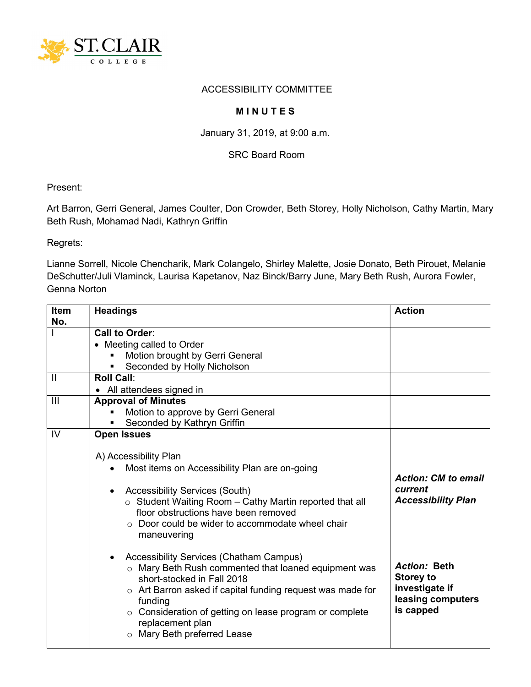

## ACCESSIBILITY COMMITTEE

## **MINUTES**

January 31, 2019, at 9:00 a.m.

SRC Board Room

Present:

Art Barron, Gerri General, James Coulter, Don Crowder, Beth Storey, Holly Nicholson, Cathy Martin, Mary Beth Rush, Mohamad Nadi, Kathryn Griffin

Regrets:

Lianne Sorrell, Nicole Chencharik, Mark Colangelo, Shirley Malette, Josie Donato, Beth Pirouet, Melanie DeSchutter/Juli Vlaminck, Laurisa Kapetanov, Naz Binck/Barry June, Mary Beth Rush, Aurora Fowler, Genna Norton

| <b>Item</b><br>No. | <b>Headings</b>                                                                                                                                                                                                                                                                                                                   | <b>Action</b>                                                                               |
|--------------------|-----------------------------------------------------------------------------------------------------------------------------------------------------------------------------------------------------------------------------------------------------------------------------------------------------------------------------------|---------------------------------------------------------------------------------------------|
|                    | Call to Order:                                                                                                                                                                                                                                                                                                                    |                                                                                             |
|                    | • Meeting called to Order                                                                                                                                                                                                                                                                                                         |                                                                                             |
|                    | Motion brought by Gerri General                                                                                                                                                                                                                                                                                                   |                                                                                             |
|                    | Seconded by Holly Nicholson                                                                                                                                                                                                                                                                                                       |                                                                                             |
| $\mathbf{I}$       | <b>Roll Call:</b>                                                                                                                                                                                                                                                                                                                 |                                                                                             |
|                    | • All attendees signed in                                                                                                                                                                                                                                                                                                         |                                                                                             |
| III                | <b>Approval of Minutes</b>                                                                                                                                                                                                                                                                                                        |                                                                                             |
|                    | Motion to approve by Gerri General                                                                                                                                                                                                                                                                                                |                                                                                             |
|                    | Seconded by Kathryn Griffin                                                                                                                                                                                                                                                                                                       |                                                                                             |
| IV                 | <b>Open Issues</b>                                                                                                                                                                                                                                                                                                                |                                                                                             |
|                    | A) Accessibility Plan<br>Most items on Accessibility Plan are on-going<br><b>Accessibility Services (South)</b><br>$\circ$ Student Waiting Room - Cathy Martin reported that all<br>floor obstructions have been removed<br>○ Door could be wider to accommodate wheel chair<br>maneuvering                                       | <b>Action: CM to email</b><br>current<br><b>Accessibility Plan</b>                          |
|                    | <b>Accessibility Services (Chatham Campus)</b><br>o Mary Beth Rush commented that loaned equipment was<br>short-stocked in Fall 2018<br>$\circ$ Art Barron asked if capital funding request was made for<br>funding<br>○ Consideration of getting on lease program or complete<br>replacement plan<br>o Mary Beth preferred Lease | <b>Action: Beth</b><br><b>Storey to</b><br>investigate if<br>leasing computers<br>is capped |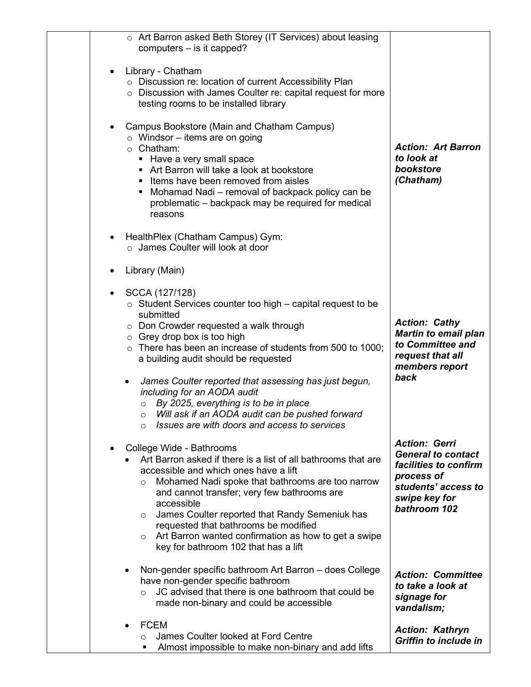| o Art Barron asked Beth Storey (IT Services) about leasing                                                                                                                                                                                                                                                                                                                                                                                                                                  |                                                                                                                                                  |
|---------------------------------------------------------------------------------------------------------------------------------------------------------------------------------------------------------------------------------------------------------------------------------------------------------------------------------------------------------------------------------------------------------------------------------------------------------------------------------------------|--------------------------------------------------------------------------------------------------------------------------------------------------|
| computers - is it capped?                                                                                                                                                                                                                                                                                                                                                                                                                                                                   |                                                                                                                                                  |
| Library - Chatham<br>$\bullet$<br>o Discussion re: location of current Accessibility Plan<br>o Discussion with James Coulter re: capital request for more<br>testing rooms to be installed library<br>Campus Bookstore (Main and Chatham Campus)<br>$\bullet$                                                                                                                                                                                                                               |                                                                                                                                                  |
| $\circ$ Windsor – items are on going<br>$\circ$ Chatham:<br>• Have a very small space<br>Art Barron will take a look at bookstore<br>• Items have been removed from aisles<br>Mohamad Nadi – removal of backpack policy can be<br>٠<br>problematic – backpack may be required for medical<br>reasons                                                                                                                                                                                        | <b>Action: Art Barron</b><br>to look at<br>bookstore<br>(Chatham)                                                                                |
| HealthPlex (Chatham Campus) Gym:<br>$\bullet$<br>$\circ$ James Coulter will look at door                                                                                                                                                                                                                                                                                                                                                                                                    |                                                                                                                                                  |
| Library (Main)                                                                                                                                                                                                                                                                                                                                                                                                                                                                              |                                                                                                                                                  |
| SCCA (127/128)<br>٠<br>$\circ$ Student Services counter too high – capital request to be<br>submitted<br>$\circ$ Don Crowder requested a walk through<br>$\circ$ Grey drop box is too high<br>$\circ$ There has been an increase of students from 500 to 1000;<br>a building audit should be requested                                                                                                                                                                                      | <b>Action: Cathy</b><br><b>Martin to email plan</b><br>to Committee and<br>request that all                                                      |
| James Coulter reported that assessing has just begun,<br>٠<br>including for an AODA audit<br>By 2025, everything is to be in place<br>$\circ$<br>Will ask if an AODA audit can be pushed forward<br>$\circ$<br>Issues are with doors and access to services                                                                                                                                                                                                                                 | members report<br>back                                                                                                                           |
| College Wide - Bathrooms<br>$\bullet$<br>Art Barron asked if there is a list of all bathrooms that are<br>accessible and which ones have a lift<br>Mohamed Nadi spoke that bathrooms are too narrow<br>$\circ$<br>and cannot transfer; very few bathrooms are<br>accessible<br>James Coulter reported that Randy Semeniuk has<br>$\circ$<br>requested that bathrooms be modified<br>Art Barron wanted confirmation as how to get a swipe<br>$\circ$<br>key for bathroom 102 that has a lift | <b>Action: Gerri</b><br><b>General to contact</b><br>facilities to confirm<br>process of<br>students' access to<br>swipe key for<br>bathroom 102 |
| Non-gender specific bathroom Art Barron - does College<br>have non-gender specific bathroom<br>JC advised that there is one bathroom that could be<br>made non-binary and could be accessible                                                                                                                                                                                                                                                                                               | <b>Action: Committee</b><br>to take a look at<br>signage for<br>vandalism;                                                                       |
| <b>FCEM</b><br>James Coulter looked at Ford Centre<br>$\circ$<br>Almost impossible to make non-binary and add lifts<br>٠                                                                                                                                                                                                                                                                                                                                                                    | <b>Action: Kathryn</b><br><b>Griffin to include in</b>                                                                                           |